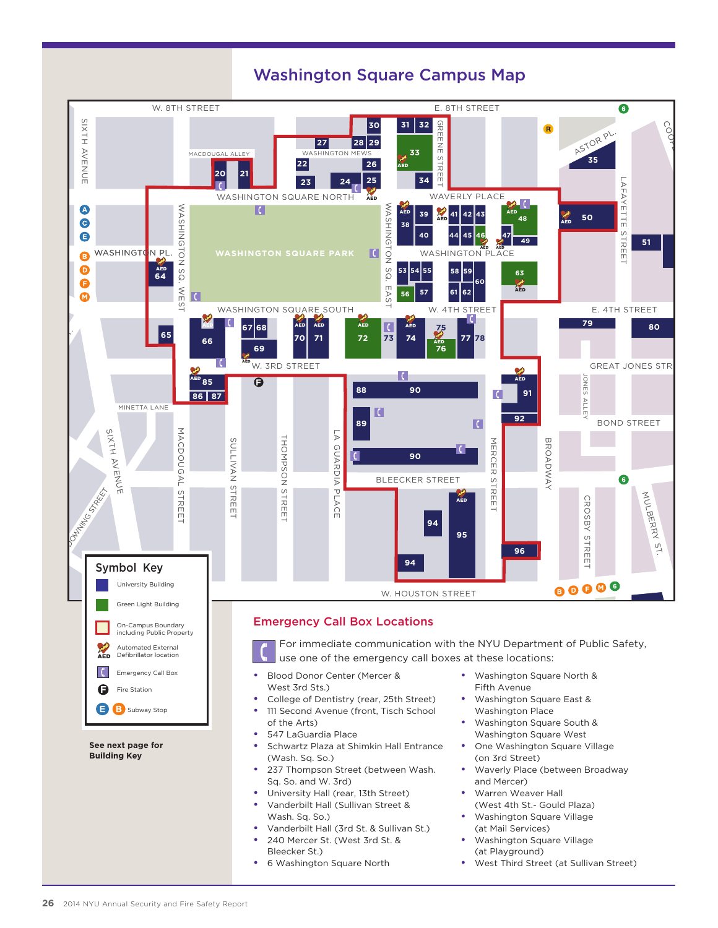

## Washington Square Campus Map